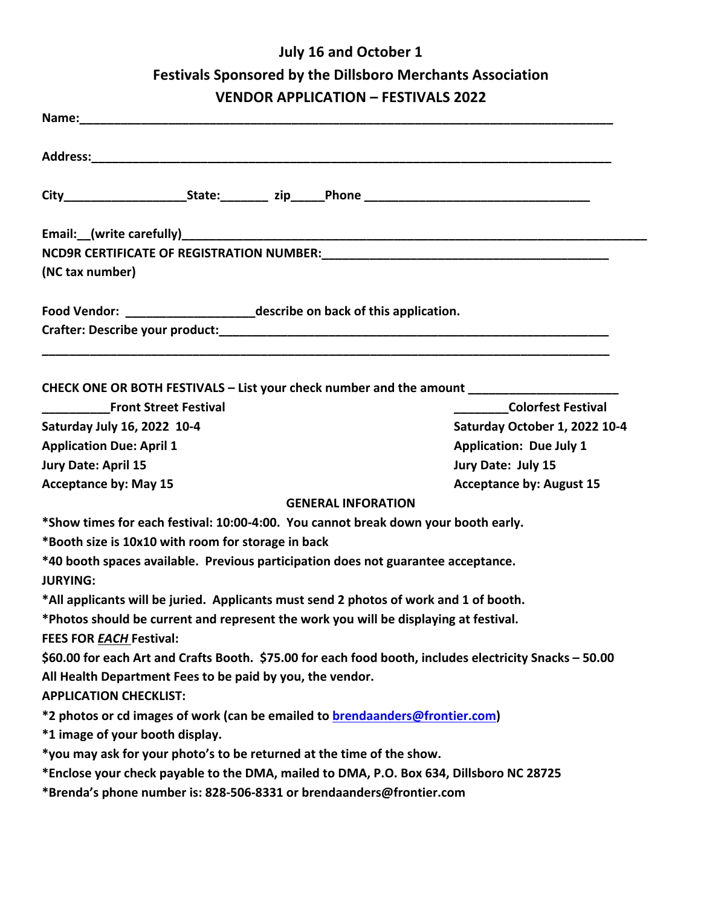## **July 16 and October 1 Festivals Sponsored by the Dillsboro Merchants Association VENDOR APPLICATION – FESTIVALS 2022**

| NCD9R CERTIFICATE OF REGISTRATION NUMBER:<br>2020 -  2021 - POLITICATE OF REGISTRATION NUMBER:<br>2021 - POLITICAL PRESSING CONTROLLER PRESSING CONTRACTOR PRESSING CONTRACTOR PRESSING CONTRACTOR CONTRACTOR C<br>(NC tax number)<br>Food Vendor: ___________________________describe on back of this application. |                                 |                                                                                   |                                |
|---------------------------------------------------------------------------------------------------------------------------------------------------------------------------------------------------------------------------------------------------------------------------------------------------------------------|---------------------------------|-----------------------------------------------------------------------------------|--------------------------------|
|                                                                                                                                                                                                                                                                                                                     |                                 | CHECK ONE OR BOTH FESTIVALS - List your check number and the amount _____________ |                                |
|                                                                                                                                                                                                                                                                                                                     |                                 | <b>Front Street Festival</b>                                                      | <b>Colorfest Festival</b>      |
|                                                                                                                                                                                                                                                                                                                     |                                 | Saturday July 16, 2022 10-4                                                       | Saturday October 1, 2022 10-4  |
|                                                                                                                                                                                                                                                                                                                     |                                 | <b>Application Due: April 1</b>                                                   | <b>Application: Due July 1</b> |
| Jury Date: April 15                                                                                                                                                                                                                                                                                                 | Jury Date: July 15              |                                                                                   |                                |
| <b>Acceptance by: May 15</b>                                                                                                                                                                                                                                                                                        | <b>Acceptance by: August 15</b> |                                                                                   |                                |
|                                                                                                                                                                                                                                                                                                                     | <b>GENERAL INFORATION</b>       |                                                                                   |                                |
| *Show times for each festival: 10:00-4:00. You cannot break down your booth early.                                                                                                                                                                                                                                  |                                 |                                                                                   |                                |
| *Booth size is 10x10 with room for storage in back                                                                                                                                                                                                                                                                  |                                 |                                                                                   |                                |
| *40 booth spaces available. Previous participation does not guarantee acceptance.<br><b>JURYING:</b>                                                                                                                                                                                                                |                                 |                                                                                   |                                |
| *All applicants will be juried. Applicants must send 2 photos of work and 1 of booth.                                                                                                                                                                                                                               |                                 |                                                                                   |                                |
| *Photos should be current and represent the work you will be displaying at festival.                                                                                                                                                                                                                                |                                 |                                                                                   |                                |
| <b>FEES FOR EACH Festival:</b>                                                                                                                                                                                                                                                                                      |                                 |                                                                                   |                                |
| \$60.00 for each Art and Crafts Booth. \$75.00 for each food booth, includes electricity Snacks - 50.00                                                                                                                                                                                                             |                                 |                                                                                   |                                |
| All Health Department Fees to be paid by you, the vendor.                                                                                                                                                                                                                                                           |                                 |                                                                                   |                                |
| <b>APPLICATION CHECKLIST:</b>                                                                                                                                                                                                                                                                                       |                                 |                                                                                   |                                |
| *2 photos or cd images of work (can be emailed to brendaanders@frontier.com)                                                                                                                                                                                                                                        |                                 |                                                                                   |                                |
| *1 image of your booth display.                                                                                                                                                                                                                                                                                     |                                 |                                                                                   |                                |
| *you may ask for your photo's to be returned at the time of the show.                                                                                                                                                                                                                                               |                                 |                                                                                   |                                |
| *Enclose your check payable to the DMA, mailed to DMA, P.O. Box 634, Dillsboro NC 28725                                                                                                                                                                                                                             |                                 |                                                                                   |                                |
| *Brenda's phone number is: 828-506-8331 or brendaanders@frontier.com                                                                                                                                                                                                                                                |                                 |                                                                                   |                                |